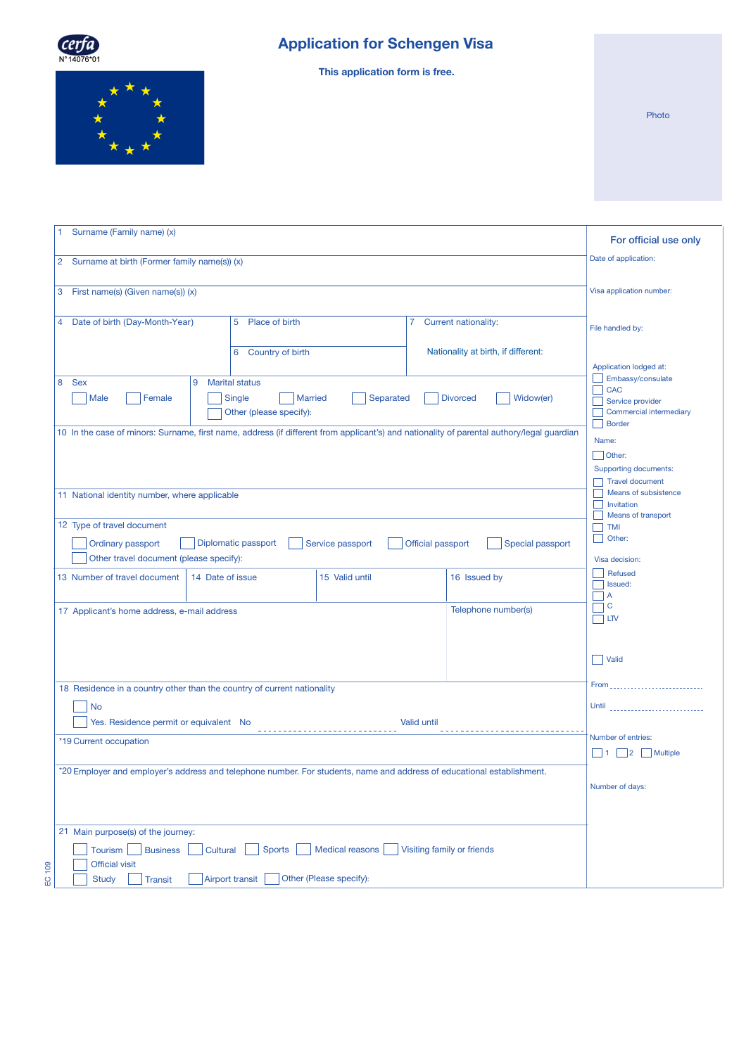

## **Application for Schengen Visa**

## **This application form is free.**



| Surname (Family name) (x)<br>1.                                                                                                                                                                                                                                                                                  | For official use only                                                                                                |
|------------------------------------------------------------------------------------------------------------------------------------------------------------------------------------------------------------------------------------------------------------------------------------------------------------------|----------------------------------------------------------------------------------------------------------------------|
| 2 Surname at birth (Former family name(s)) (x)                                                                                                                                                                                                                                                                   | Date of application:                                                                                                 |
| 3 First name(s) (Given name(s)) (x)                                                                                                                                                                                                                                                                              | Visa application number:                                                                                             |
| 4 Date of birth (Day-Month-Year)<br>Place of birth<br>5<br>7 Current nationality:                                                                                                                                                                                                                                | File handled by:                                                                                                     |
| Nationality at birth, if different:<br>6 Country of birth                                                                                                                                                                                                                                                        | Application lodged at:                                                                                               |
| 8<br><b>Sex</b><br>9<br><b>Marital status</b><br>Widow(er)<br>Male<br>Female<br>Single<br><b>Married</b><br>Separated<br><b>Divorced</b><br>Other (please specify):<br>10 In the case of minors: Surname, first name, address (if different from applicant's) and nationality of parental authory/legal guardian | Embassy/consulate<br>$\Box$ CAC<br>Service provider<br>Commercial intermediary<br>Border<br>Name:<br>Other:          |
| 11 National identity number, where applicable                                                                                                                                                                                                                                                                    | <b>Supporting documents:</b><br><b>Travel document</b><br>Means of subsistence<br>I Invitation<br>Means of transport |
| 12 Type of travel document<br>Diplomatic passport<br>Ordinary passport<br>Official passport<br>Special passport<br>Service passport<br>Other travel document (please specify):                                                                                                                                   | <b>TMI</b><br>Other:<br>$\Box$<br>Visa decision:                                                                     |
| 13 Number of travel document<br>15 Valid until<br>16 Issued by<br>14 Date of issue                                                                                                                                                                                                                               | Refused<br>H<br>Issued:<br>$\Box$ A                                                                                  |
| Telephone number(s)<br>17 Applicant's home address, e-mail address                                                                                                                                                                                                                                               | $\Box$ c<br>$\Box$ ltv                                                                                               |
|                                                                                                                                                                                                                                                                                                                  | <b>Valid</b>                                                                                                         |
| 18 Residence in a country other than the country of current nationality                                                                                                                                                                                                                                          |                                                                                                                      |
| <b>No</b><br>Yes. Residence permit or equivalent No<br>Valid until                                                                                                                                                                                                                                               | Until ____________________________                                                                                   |
| *19 Current occupation                                                                                                                                                                                                                                                                                           | Number of entries:<br>$\Box$ 1       2<br><b>Multiple</b>                                                            |
| *20 Employer and employer's address and telephone number. For students, name and address of educational establishment.                                                                                                                                                                                           | Number of days:                                                                                                      |
| 21 Main purpose(s) of the journey:<br>Cultural<br><b>Medical reasons</b><br>Visiting family or friends<br><b>Business</b><br><b>Sports</b><br>Tourism<br><b>Official visit</b><br>EC 109<br>Other (Please specify):<br>Airport transit<br><b>Study</b><br><b>Transit</b>                                         |                                                                                                                      |

Photo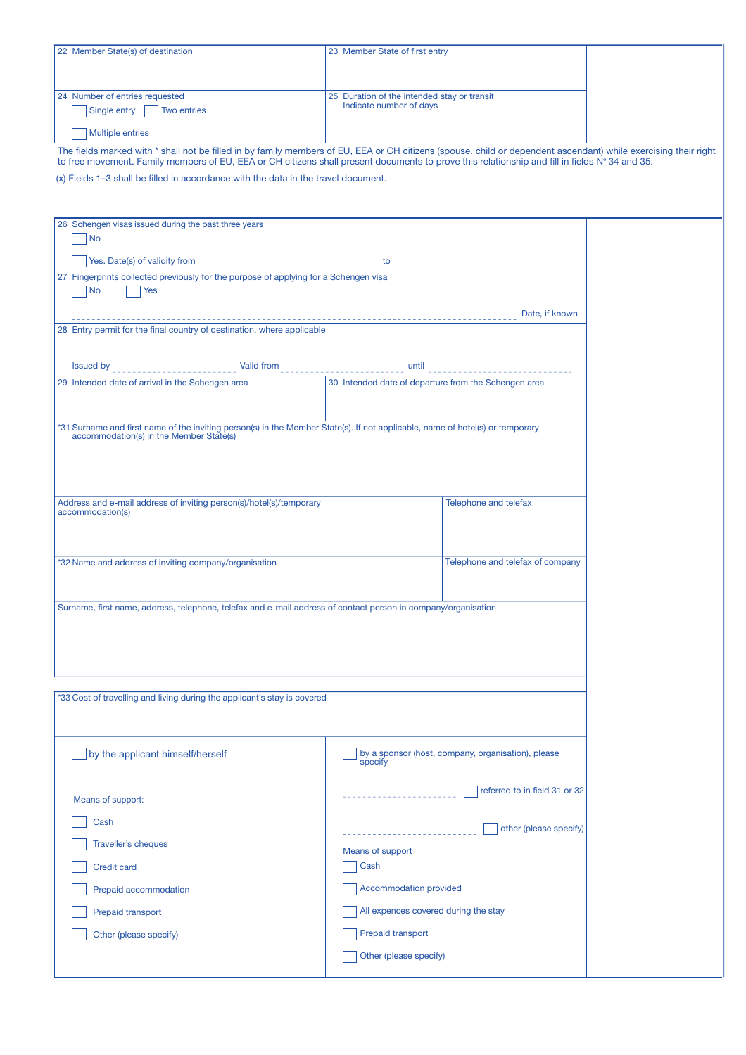| 22 Member State(s) of destination                                                                                                                                                                                                    | 23 Member State of first entry                                         |  |  |
|--------------------------------------------------------------------------------------------------------------------------------------------------------------------------------------------------------------------------------------|------------------------------------------------------------------------|--|--|
|                                                                                                                                                                                                                                      |                                                                        |  |  |
|                                                                                                                                                                                                                                      |                                                                        |  |  |
| 24 Number of entries requested                                                                                                                                                                                                       | 25 Duration of the intended stay or transit<br>Indicate number of days |  |  |
| Single entry<br>Two entries                                                                                                                                                                                                          |                                                                        |  |  |
| <b>Multiple entries</b>                                                                                                                                                                                                              |                                                                        |  |  |
| The fields marked with * shall not be filled in by family members of EU, EEA or CH citizens (spouse, child or dependent ascendant) while exercising their right                                                                      |                                                                        |  |  |
| to free movement. Family members of EU, EEA or CH citizens shall present documents to prove this relationship and fill in fields N° 34 and 35.<br>(x) Fields 1-3 shall be filled in accordance with the data in the travel document. |                                                                        |  |  |
|                                                                                                                                                                                                                                      |                                                                        |  |  |
|                                                                                                                                                                                                                                      |                                                                        |  |  |
| 26 Schengen visas issued during the past three years                                                                                                                                                                                 |                                                                        |  |  |
| $\overline{\phantom{a}}$ No                                                                                                                                                                                                          |                                                                        |  |  |
|                                                                                                                                                                                                                                      |                                                                        |  |  |
|                                                                                                                                                                                                                                      |                                                                        |  |  |
| 27 Fingerprints collected previously for the purpose of applying for a Schengen visa<br>$ $ No<br><b>Yes</b>                                                                                                                         |                                                                        |  |  |
|                                                                                                                                                                                                                                      |                                                                        |  |  |
|                                                                                                                                                                                                                                      | Date, if known                                                         |  |  |
| 28 Entry permit for the final country of destination, where applicable                                                                                                                                                               |                                                                        |  |  |
|                                                                                                                                                                                                                                      |                                                                        |  |  |
|                                                                                                                                                                                                                                      |                                                                        |  |  |
| 29 Intended date of arrival in the Schengen area                                                                                                                                                                                     | 30 Intended date of departure from the Schengen area                   |  |  |
|                                                                                                                                                                                                                                      |                                                                        |  |  |
|                                                                                                                                                                                                                                      |                                                                        |  |  |
| *31 Surname and first name of the inviting person(s) in the Member State(s). If not applicable, name of hotel(s) or temporary<br>accommodation(s) in the Member State(s)                                                             |                                                                        |  |  |
|                                                                                                                                                                                                                                      |                                                                        |  |  |
|                                                                                                                                                                                                                                      |                                                                        |  |  |
|                                                                                                                                                                                                                                      |                                                                        |  |  |
|                                                                                                                                                                                                                                      |                                                                        |  |  |
| Address and e-mail address of inviting person(s)/hotel(s)/temporary<br>accommodation(s)                                                                                                                                              | Telephone and telefax                                                  |  |  |
|                                                                                                                                                                                                                                      |                                                                        |  |  |
|                                                                                                                                                                                                                                      |                                                                        |  |  |
| *32 Name and address of inviting company/organisation                                                                                                                                                                                | Telephone and telefax of company                                       |  |  |
|                                                                                                                                                                                                                                      |                                                                        |  |  |
|                                                                                                                                                                                                                                      |                                                                        |  |  |
| Surname, first name, address, telephone, telefax and e-mail address of contact person in company/organisation                                                                                                                        |                                                                        |  |  |
|                                                                                                                                                                                                                                      |                                                                        |  |  |
|                                                                                                                                                                                                                                      |                                                                        |  |  |
|                                                                                                                                                                                                                                      |                                                                        |  |  |
|                                                                                                                                                                                                                                      |                                                                        |  |  |
|                                                                                                                                                                                                                                      |                                                                        |  |  |
| *33 Cost of travelling and living during the applicant's stay is covered                                                                                                                                                             |                                                                        |  |  |
|                                                                                                                                                                                                                                      |                                                                        |  |  |
|                                                                                                                                                                                                                                      |                                                                        |  |  |
| by the applicant himself/herself                                                                                                                                                                                                     | by a sponsor (host, company, organisation), please<br>specify          |  |  |
|                                                                                                                                                                                                                                      |                                                                        |  |  |
|                                                                                                                                                                                                                                      | referred to in field 31 or 32                                          |  |  |
| Means of support:                                                                                                                                                                                                                    |                                                                        |  |  |
| Cash                                                                                                                                                                                                                                 |                                                                        |  |  |
|                                                                                                                                                                                                                                      | other (please specify)                                                 |  |  |
| Traveller's cheques                                                                                                                                                                                                                  | Means of support                                                       |  |  |
| <b>Credit card</b>                                                                                                                                                                                                                   | Cash                                                                   |  |  |
| Prepaid accommodation                                                                                                                                                                                                                | <b>Accommodation provided</b>                                          |  |  |
|                                                                                                                                                                                                                                      |                                                                        |  |  |
| Prepaid transport                                                                                                                                                                                                                    | All expences covered during the stay                                   |  |  |
| Other (please specify)                                                                                                                                                                                                               | Prepaid transport                                                      |  |  |
|                                                                                                                                                                                                                                      | Other (please specify)                                                 |  |  |
|                                                                                                                                                                                                                                      |                                                                        |  |  |